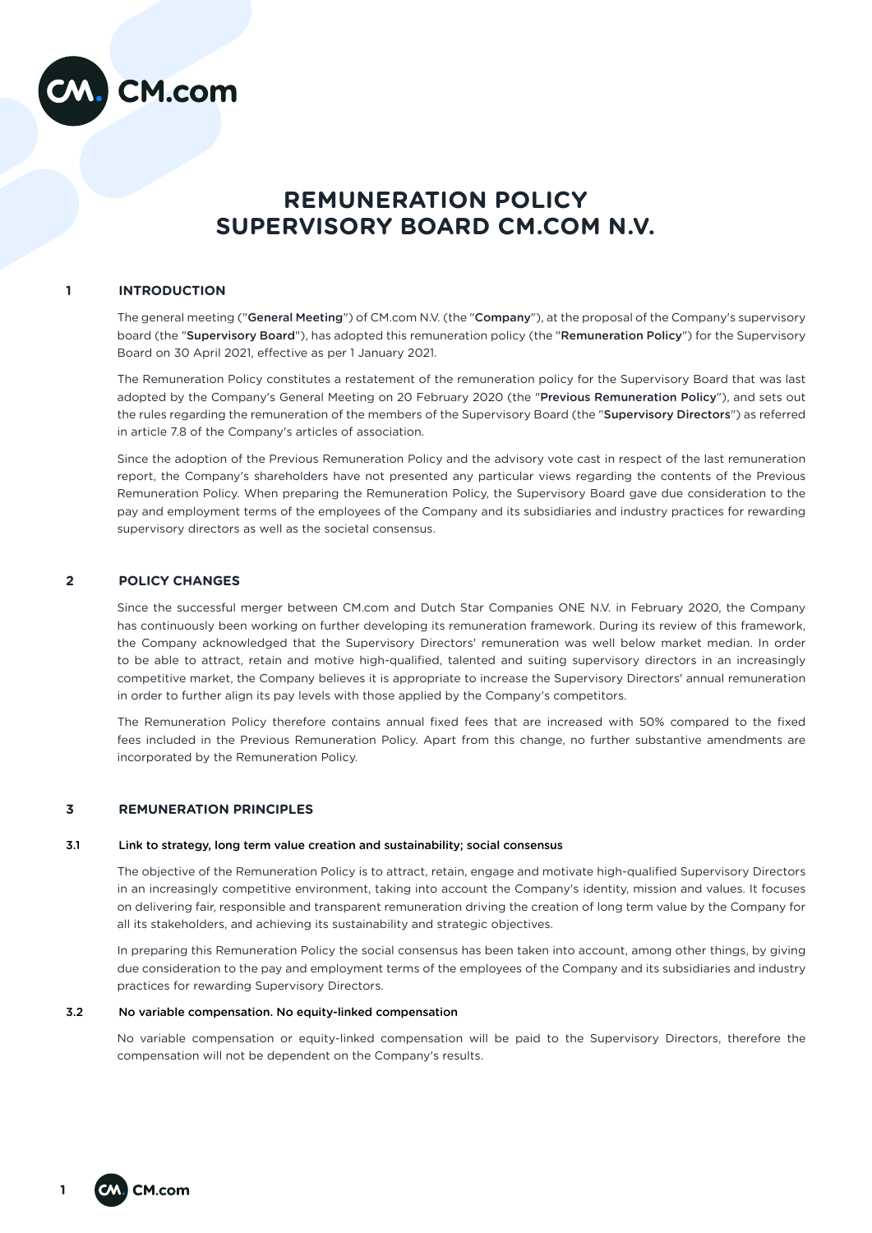

# **REMUNERATION POLICY SUPERVISORY BOARD CM.COM N.V.**

## **1 INTRODUCTION**

The general meeting ("General Meeting") of CM.com N.V. (the "Company"), at the proposal of the Company's supervisory board (the "Supervisory Board"), has adopted this remuneration policy (the "Remuneration Policy") for the Supervisory Board on 30 April 2021, effective as per 1 January 2021.

The Remuneration Policy constitutes a restatement of the remuneration policy for the Supervisory Board that was last adopted by the Company's General Meeting on 20 February 2020 (the "Previous Remuneration Policy"), and sets out the rules regarding the remuneration of the members of the Supervisory Board (the "Supervisory Directors") as referred in article 7.8 of the Company's articles of association.

Since the adoption of the Previous Remuneration Policy and the advisory vote cast in respect of the last remuneration report, the Company's shareholders have not presented any particular views regarding the contents of the Previous Remuneration Policy. When preparing the Remuneration Policy, the Supervisory Board gave due consideration to the pay and employment terms of the employees of the Company and its subsidiaries and industry practices for rewarding supervisory directors as well as the societal consensus.

## **2 POLICY CHANGES**

Since the successful merger between CM.com and Dutch Star Companies ONE N.V. in February 2020, the Company has continuously been working on further developing its remuneration framework. During its review of this framework, the Company acknowledged that the Supervisory Directors' remuneration was well below market median. In order to be able to attract, retain and motive high-qualified, talented and suiting supervisory directors in an increasingly competitive market, the Company believes it is appropriate to increase the Supervisory Directors' annual remuneration in order to further align its pay levels with those applied by the Company's competitors.

The Remuneration Policy therefore contains annual fixed fees that are increased with 50% compared to the fixed fees included in the Previous Remuneration Policy. Apart from this change, no further substantive amendments are incorporated by the Remuneration Policy.

# **3 REMUNERATION PRINCIPLES**

#### 3.1 Link to strategy, long term value creation and sustainability; social consensus

The objective of the Remuneration Policy is to attract, retain, engage and motivate high-qualified Supervisory Directors in an increasingly competitive environment, taking into account the Company's identity, mission and values. It focuses on delivering fair, responsible and transparent remuneration driving the creation of long term value by the Company for all its stakeholders, and achieving its sustainability and strategic objectives.

In preparing this Remuneration Policy the social consensus has been taken into account, among other things, by giving due consideration to the pay and employment terms of the employees of the Company and its subsidiaries and industry practices for rewarding Supervisory Directors.

## 3.2 No variable compensation. No equity-linked compensation

No variable compensation or equity-linked compensation will be paid to the Supervisory Directors, therefore the compensation will not be dependent on the Company's results.

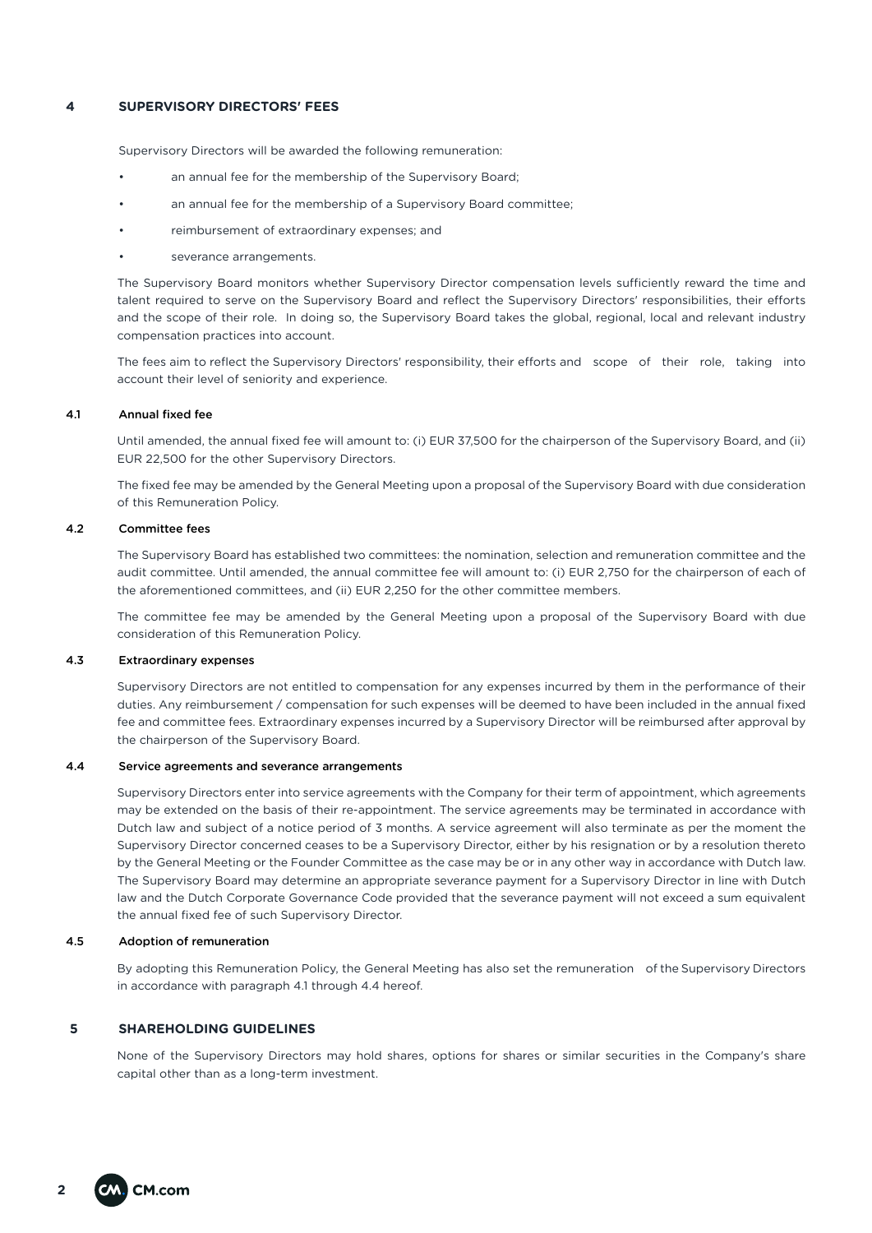## **4 SUPERVISORY DIRECTORS' FEES**

Supervisory Directors will be awarded the following remuneration:

- an annual fee for the membership of the Supervisory Board:
- an annual fee for the membership of a Supervisory Board committee:
- reimbursement of extraordinary expenses; and
- severance arrangements.

The Supervisory Board monitors whether Supervisory Director compensation levels sufficiently reward the time and talent required to serve on the Supervisory Board and reflect the Supervisory Directors' responsibilities, their efforts and the scope of their role. In doing so, the Supervisory Board takes the global, regional, local and relevant industry compensation practices into account.

The fees aim to reflect the Supervisory Directors' responsibility, their efforts and scope of their role, taking into account their level of seniority and experience.

#### 4.1 Annual fixed fee

Until amended, the annual fixed fee will amount to: (i) EUR 37,500 for the chairperson of the Supervisory Board, and (ii) EUR 22,500 for the other Supervisory Directors.

The fixed fee may be amended by the General Meeting upon a proposal of the Supervisory Board with due consideration of this Remuneration Policy.

#### 4.2 Committee fees

The Supervisory Board has established two committees: the nomination, selection and remuneration committee and the audit committee. Until amended, the annual committee fee will amount to: (i) EUR 2,750 for the chairperson of each of the aforementioned committees, and (ii) EUR 2,250 for the other committee members.

The committee fee may be amended by the General Meeting upon a proposal of the Supervisory Board with due consideration of this Remuneration Policy.

#### 4.3 Extraordinary expenses

Supervisory Directors are not entitled to compensation for any expenses incurred by them in the performance of their duties. Any reimbursement / compensation for such expenses will be deemed to have been included in the annual fixed fee and committee fees. Extraordinary expenses incurred by a Supervisory Director will be reimbursed after approval by the chairperson of the Supervisory Board.

#### 4.4 Service agreements and severance arrangements

Supervisory Directors enter into service agreements with the Company for their term of appointment, which agreements may be extended on the basis of their re-appointment. The service agreements may be terminated in accordance with Dutch law and subject of a notice period of 3 months. A service agreement will also terminate as per the moment the Supervisory Director concerned ceases to be a Supervisory Director, either by his resignation or by a resolution thereto by the General Meeting or the Founder Committee as the case may be or in any other way in accordance with Dutch law. The Supervisory Board may determine an appropriate severance payment for a Supervisory Director in line with Dutch law and the Dutch Corporate Governance Code provided that the severance payment will not exceed a sum equivalent the annual fixed fee of such Supervisory Director.

### 4.5 Adoption of remuneration

By adopting this Remuneration Policy, the General Meeting has also set the remuneration of the Supervisory Directors in accordance with paragraph 4.1 through 4.4 hereof.

#### **5 SHAREHOLDING GUIDELINES**

None of the Supervisory Directors may hold shares, options for shares or similar securities in the Company's share capital other than as a long-term investment.